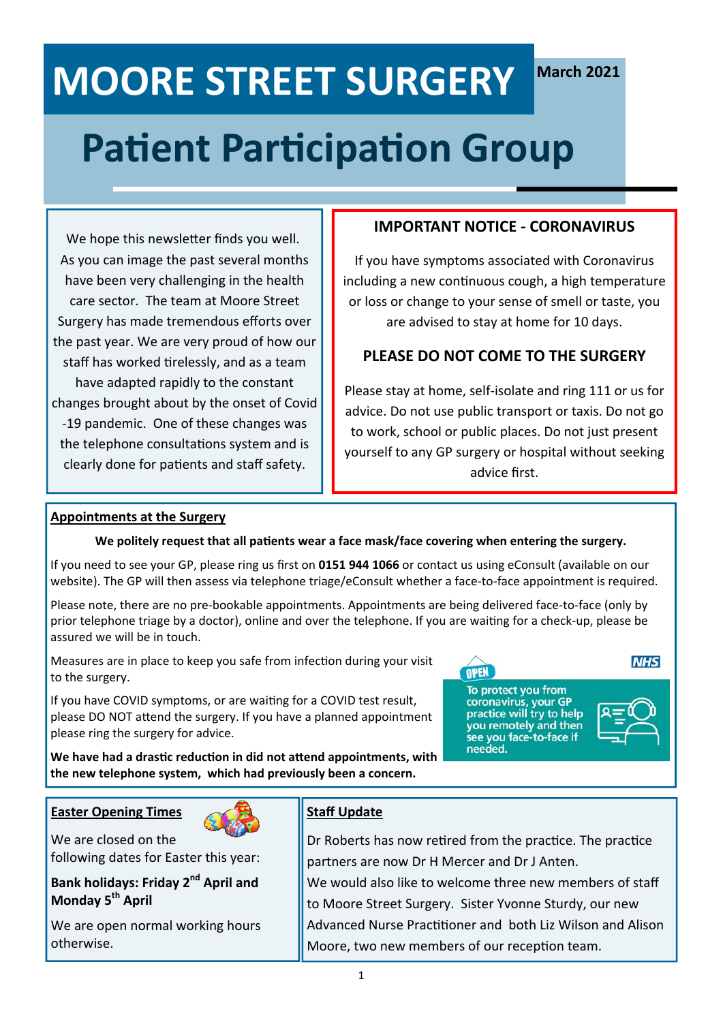## **Patient Participation Group**

We hope this newsletter finds you well. As you can image the past several months have been very challenging in the health care sector. The team at Moore Street Surgery has made tremendous efforts over the past year. We are very proud of how our staff has worked tirelessly, and as a team have adapted rapidly to the constant changes brought about by the onset of Covid ‐19 pandemic. One of these changes was the telephone consultations system and is clearly done for patients and staff safety.

### **IMPORTANT NOTICE ‐ CORONAVIRUS**

If you have symptoms associated with Coronavirus including a new conƟnuous cough, a high temperature or loss or change to your sense of smell or taste, you are advised to stay at home for 10 days.

### **PLEASE DO NOT COME TO THE SURGERY**

Please stay at home, self‐isolate and ring 111 or us for advice. Do not use public transport or taxis. Do not go to work, school or public places. Do not just present yourself to any GP surgery or hospital without seeking advice first.

#### **Appointments at the Surgery**

#### We politely request that all patients wear a face mask/face covering when entering the surgery.

If you need to see your GP, please ring us first on **0151 944 1066** or contact us using eConsult (available on our website). The GP will then assess via telephone triage/eConsult whether a face-to-face appointment is required.

Please note, there are no pre‐bookable appointments. Appointments are being delivered face‐to‐face (only by prior telephone triage by a doctor), online and over the telephone. If you are waiting for a check-up, please be assured we will be in touch.

Measures are in place to keep you safe from infection during your visit to the surgery.

If you have COVID symptoms, or are waiting for a COVID test result, please DO NOT attend the surgery. If you have a planned appointment please ring the surgery for advice.

To protect you from coronavirus, your GP<br>practice will try to help you remotely and then see you face-to-face if needed.

OPEN



**NHS** 

We have had a drastic reduction in did not attend appointments, with **the new telephone system, which had previously been a concern.** 

**Easter Opening Times**



#### We are closed on the following dates for Easter this year:

**Bank holidays: Friday 2<sup>nd</sup> April and Monday 5<sup>th</sup> April** 

We are open normal working hours otherwise.

### **Staff Update**

Dr Roberts has now retired from the practice. The practice partners are now Dr H Mercer and Dr J Anten. We would also like to welcome three new members of staff to Moore Street Surgery. Sister Yvonne Sturdy, our new Advanced Nurse Practitioner and both Liz Wilson and Alison Moore, two new members of our reception team.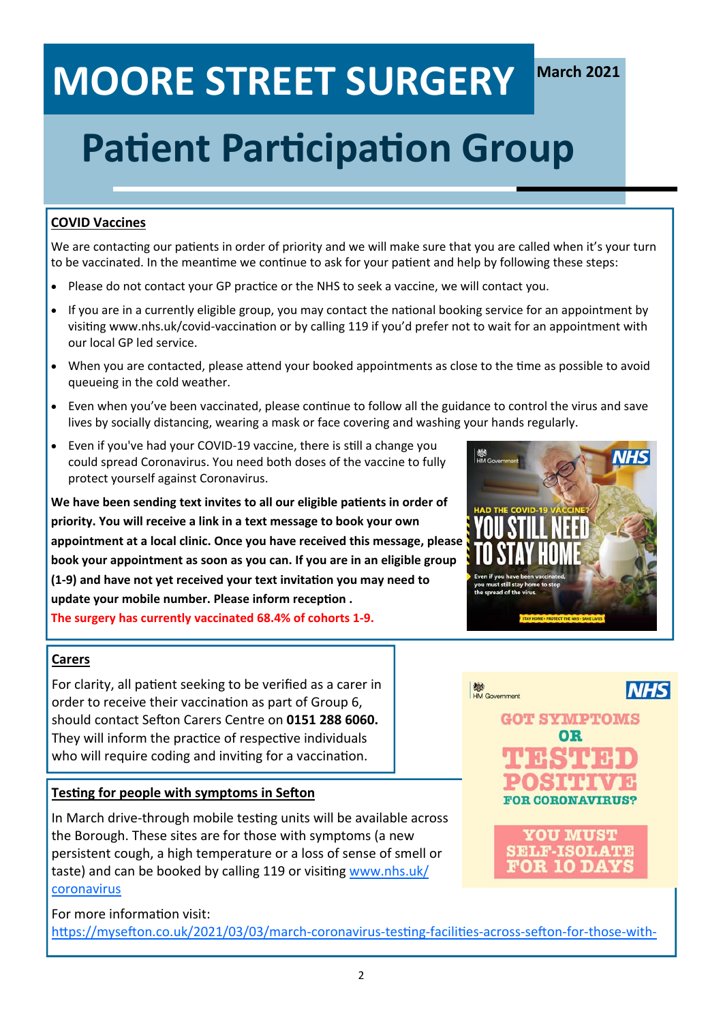## **Patient Participation Group**

### **COVID Vaccines**

We are contacting our patients in order of priority and we will make sure that you are called when it's your turn to be vaccinated. In the meantime we continue to ask for your patient and help by following these steps:

- Please do not contact your GP practice or the NHS to seek a vaccine, we will contact you.
- If you are in a currently eligible group, you may contact the national booking service for an appointment by visiting www.nhs.uk/covid-vaccination or by calling 119 if you'd prefer not to wait for an appointment with our local GP led service.
- When you are contacted, please attend your booked appointments as close to the time as possible to avoid queueing in the cold weather.
- Even when you've been vaccinated, please continue to follow all the guidance to control the virus and save lives by socially distancing, wearing a mask or face covering and washing your hands regularly.
- Even if you've had your COVID-19 vaccine, there is still a change you could spread Coronavirus. You need both doses of the vaccine to fully protect yourself against Coronavirus.

We have been sending text invites to all our eligible patients in order of **priority. You will receive a link in a text message to book your own appointment at a local clinic. Once you have received this message, please book your appointment as soon as you can. If you are in an eligible group (1‐9) and have not yet received your text invitaƟon you may need to**  update your mobile number. Please inform reception . **The surgery has currently vaccinated 68.4% of cohorts 1‐9.** 

### **Carers**

For clarity, all patient seeking to be verified as a carer in order to receive their vaccination as part of Group 6, should contact Sefton Carers Centre on 0151 288 6060. They will inform the practice of respective individuals who will require coding and inviting for a vaccination.

### **Testing for people with symptoms in Sefton**

In March drive-through mobile testing units will be available across the Borough. These sites are for those with symptoms (a new persistent cough, a high temperature or a loss of sense of smell or taste) and can be booked by calling 119 or visiting www.nhs.uk/ coronavirus

For more information visit: https://mysefton.co.uk/2021/03/03/march-coronavirus-testing-facilities-across-sefton-for-those-with-







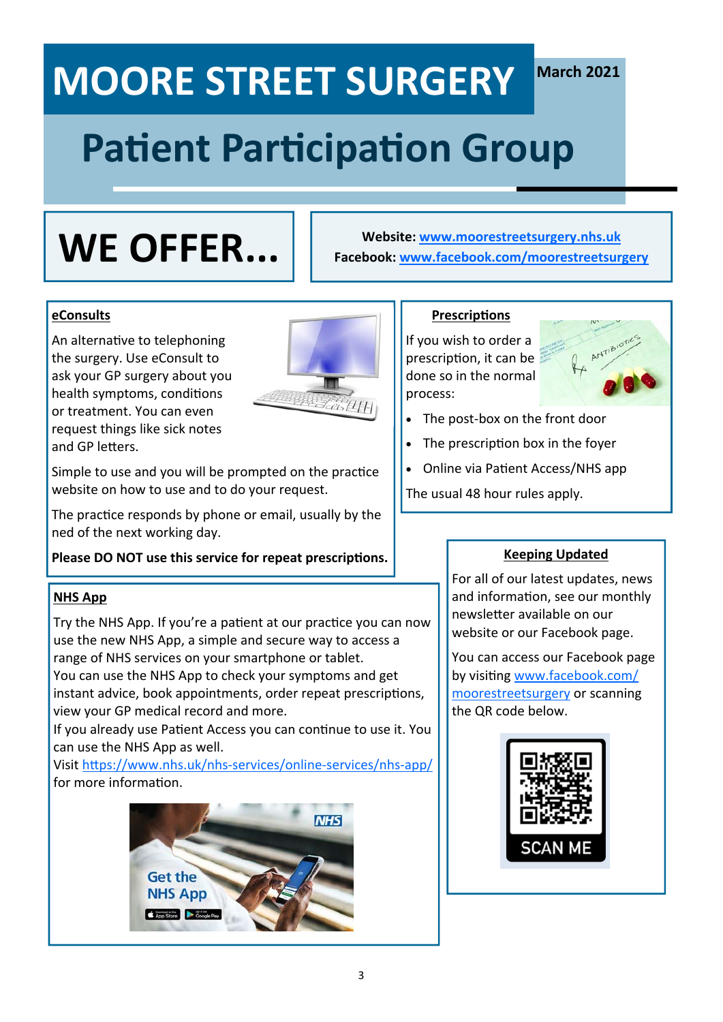# **Patient Participation Group**

## **WE OFFER...**

**Website: www.moorestreetsurgery.nhs.uk Facebook: www.facebook.com/moorestreetsurgery**

### **eConsults**

An alternative to telephoning the surgery. Use eConsult to ask your GP surgery about you health symptoms, conditions or treatment. You can even request things like sick notes and GP letters.



Simple to use and you will be prompted on the practice website on how to use and to do your request.

The practice responds by phone or email, usually by the ned of the next working day.

Please DO NOT use this service for repeat prescriptions.

### **NHS App**

Try the NHS App. If you're a patient at our practice you can now use the new NHS App, a simple and secure way to access a range of NHS services on your smartphone or tablet. You can use the NHS App to check your symptoms and get instant advice, book appointments, order repeat prescriptions, view your GP medical record and more.

If you already use Patient Access you can continue to use it. You can use the NHS App as well.

Visit hƩps://www.nhs.uk/nhs‐services/online‐services/nhs‐app/ for more information.



### **PrescripƟons**

If you wish to order a prescription, it can be done so in the normal process:



- The post‐box on the front door
- The prescription box in the foyer
- Online via Patient Access/NHS app

The usual 48 hour rules apply.

### **Keeping Updated**

For all of our latest updates, news and information, see our monthly newsletter available on our website or our Facebook page.

You can access our Facebook page by visiting www.facebook.com/ moorestreetsurgery or scanning the QR code below.